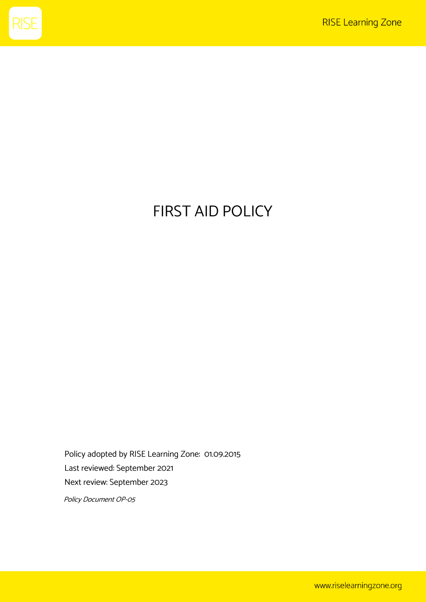

# FIRST AID POLICY

Policy adopted by RISE Learning Zone: 01.09.2015 Last reviewed: September 2021 Next review: September 2023

Policy Document OP-05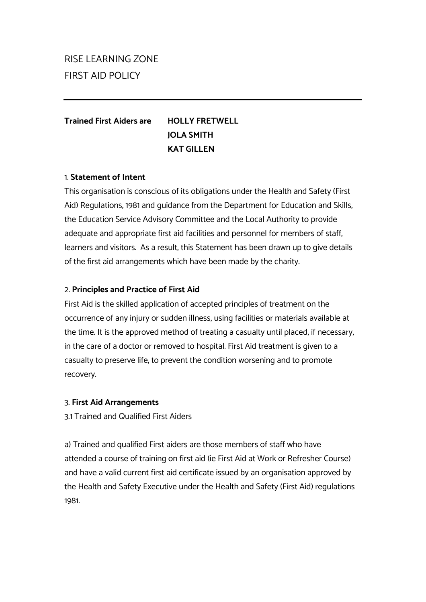## RISE LEARNING ZONE FIRST AID POLICY

### **Trained First Aiders are HOLLY FRETWELL JOLA SMITH KAT GILLEN**

#### 1. **Statement of Intent**

This organisation is conscious of its obligations under the Health and Safety (First Aid) Regulations, 1981 and guidance from the Department for Education and Skills, the Education Service Advisory Committee and the Local Authority to provide adequate and appropriate first aid facilities and personnel for members of staff, learners and visitors. As a result, this Statement has been drawn up to give details of the first aid arrangements which have been made by the charity.

#### 2. **Principles and Practice of First Aid**

First Aid is the skilled application of accepted principles of treatment on the occurrence of any injury or sudden illness, using facilities or materials available at the time. It is the approved method of treating a casualty until placed, if necessary, in the care of a doctor or removed to hospital. First Aid treatment is given to a casualty to preserve life, to prevent the condition worsening and to promote recovery.

#### 3. **First Aid Arrangements**

3.1 Trained and Qualified First Aiders

a) Trained and qualified First aiders are those members of staff who have attended a course of training on first aid (ie First Aid at Work or Refresher Course) and have a valid current first aid certificate issued by an organisation approved by the Health and Safety Executive under the Health and Safety (First Aid) regulations 1981.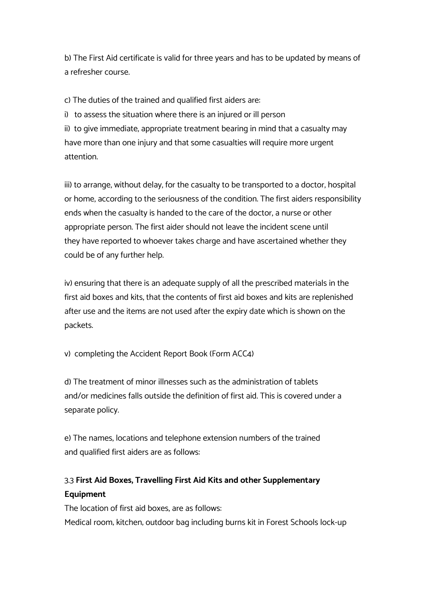b) The First Aid certificate is valid for three years and has to be updated by means of a refresher course.

c) The duties of the trained and qualified first aiders are:

i) to assess the situation where there is an injured or ill person

ii) to give immediate, appropriate treatment bearing in mind that a casualty may have more than one injury and that some casualties will require more urgent attention.

iii) to arrange, without delay, for the casualty to be transported to a doctor, hospital or home, according to the seriousness of the condition. The first aiders responsibility ends when the casualty is handed to the care of the doctor, a nurse or other appropriate person. The first aider should not leave the incident scene until they have reported to whoever takes charge and have ascertained whether they could be of any further help.

iv) ensuring that there is an adequate supply of all the prescribed materials in the first aid boxes and kits, that the contents of first aid boxes and kits are replenished after use and the items are not used after the expiry date which is shown on the packets.

v) completing the Accident Report Book (Form ACC4)

d) The treatment of minor illnesses such as the administration of tablets and/or medicines falls outside the definition of first aid. This is covered under a separate policy.

e) The names, locations and telephone extension numbers of the trained and qualified first aiders are as follows:

## 3.3 **First Aid Boxes, Travelling First Aid Kits and other Supplementary Equipment**

The location of first aid boxes, are as follows: Medical room; kitchen; outdoor bag including burns kit in Forest Schools lock-up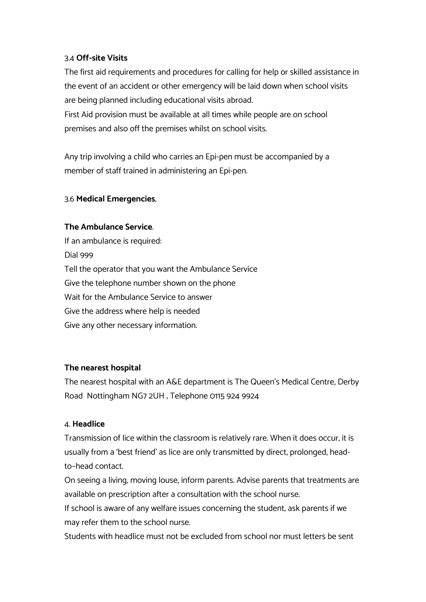#### 3.4 **Off-site Visits**

The first aid requirements and procedures for calling for help or skilled assistance in the event of an accident or other emergency will be laid down when school visits are being planned including educational visits abroad.

First Aid provision must be available at all times while people are on school premises and also off the premises whilst on school visits.

Any trip involving a child who carries an Epi-pen must be accompanied by a member of staff trained in administering an Epi-pen.

#### 3.6 **Medical Emergencies**,

#### **The Ambulance Service**.

If an ambulance is required: Dial 999 Tell the operator that you want the Ambulance Service Give the telephone number shown on the phone Wait for the Ambulance Service to answer Give the address where help is needed Give any other necessary information.

#### **The nearest hospital**

The nearest hospital with an A&E department is The Queen's Medical Centre, Derby Road Nottingham NG7 2UH ; Telephone 0115 924 9924

#### 4. **Headlice**

Transmission of lice within the classroom is relatively rare. When it does occur, it is usually from a 'best friend' as lice are only transmitted by direct, prolonged, headto–head contact.

On seeing a living, moving louse, inform parents. Advise parents that treatments are available on prescription after a consultation with the school nurse.

If school is aware of any welfare issues concerning the student, ask parents if we may refer them to the school nurse.

Students with headlice must not be excluded from school nor must letters be sent